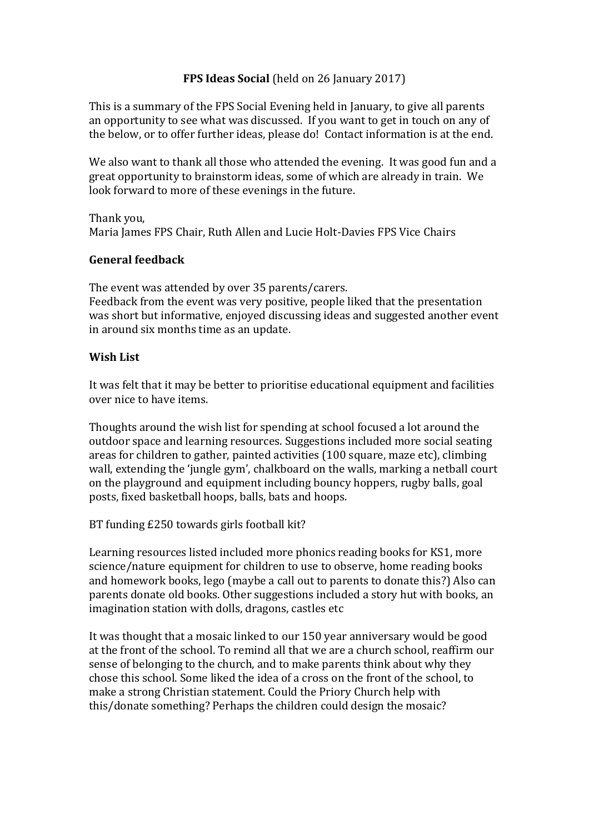## **FPS Ideas Social** (held on 26 January 2017)

This is a summary of the FPS Social Evening held in January, to give all parents an opportunity to see what was discussed. If you want to get in touch on any of the below, or to offer further ideas, please do! Contact information is at the end.

We also want to thank all those who attended the evening. It was good fun and a great opportunity to brainstorm ideas, some of which are already in train. We look forward to more of these evenings in the future.

Thank you, Maria James FPS Chair, Ruth Allen and Lucie Holt-Davies FPS Vice Chairs

### **General feedback**

The event was attended by over 35 parents/carers. Feedback from the event was very positive, people liked that the presentation was short but informative, enjoyed discussing ideas and suggested another event in around six months time as an update.

### **Wish List**

It was felt that it may be better to prioritise educational equipment and facilities over nice to have items.

Thoughts around the wish list for spending at school focused a lot around the outdoor space and learning resources. Suggestions included more social seating areas for children to gather, painted activities (100 square, maze etc), climbing wall, extending the 'jungle gym', chalkboard on the walls, marking a netball court on the playground and equipment including bouncy hoppers, rugby balls, goal posts, fixed basketball hoops, balls, bats and hoops.

### BT funding £250 towards girls football kit?

Learning resources listed included more phonics reading books for KS1, more science/nature equipment for children to use to observe, home reading books and homework books, lego (maybe a call out to parents to donate this?) Also can parents donate old books. Other suggestions included a story hut with books, an imagination station with dolls, dragons, castles etc

It was thought that a mosaic linked to our 150 year anniversary would be good at the front of the school. To remind all that we are a church school, reaffirm our sense of belonging to the church, and to make parents think about why they chose this school. Some liked the idea of a cross on the front of the school, to make a strong Christian statement. Could the Priory Church help with this/donate something? Perhaps the children could design the mosaic?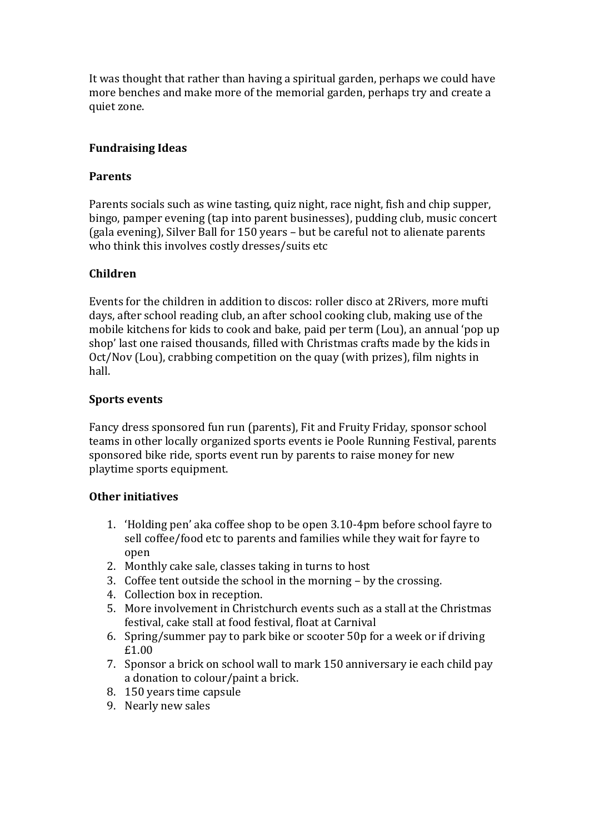It was thought that rather than having a spiritual garden, perhaps we could have more benches and make more of the memorial garden, perhaps try and create a quiet zone.

## **Fundraising Ideas**

### **Parents**

Parents socials such as wine tasting, quiz night, race night, fish and chip supper, bingo, pamper evening (tap into parent businesses), pudding club, music concert (gala evening), Silver Ball for 150 years – but be careful not to alienate parents who think this involves costly dresses/suits etc

## **Children**

Events for the children in addition to discos: roller disco at 2Rivers, more mufti days, after school reading club, an after school cooking club, making use of the mobile kitchens for kids to cook and bake, paid per term (Lou), an annual 'pop up shop' last one raised thousands, filled with Christmas crafts made by the kids in Oct/Nov (Lou), crabbing competition on the quay (with prizes), film nights in hall.

## **Sports events**

Fancy dress sponsored fun run (parents), Fit and Fruity Friday, sponsor school teams in other locally organized sports events ie Poole Running Festival, parents sponsored bike ride, sports event run by parents to raise money for new playtime sports equipment.

# **Other initiatives**

- 1. 'Holding pen' aka coffee shop to be open 3.10-4pm before school fayre to sell coffee/food etc to parents and families while they wait for fayre to open
- 2. Monthly cake sale, classes taking in turns to host
- 3. Coffee tent outside the school in the morning by the crossing.
- 4. Collection box in reception.
- 5. More involvement in Christchurch events such as a stall at the Christmas festival, cake stall at food festival, float at Carnival
- 6. Spring/summer pay to park bike or scooter 50p for a week or if driving £1.00
- 7. Sponsor a brick on school wall to mark 150 anniversary ie each child pay a donation to colour/paint a brick.
- 8. 150 years time capsule
- 9. Nearly new sales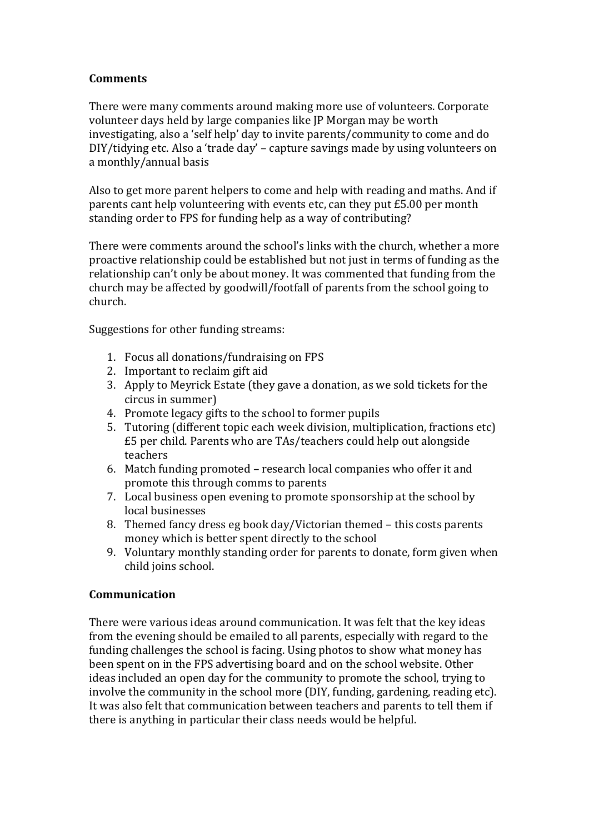## **Comments**

There were many comments around making more use of volunteers. Corporate volunteer days held by large companies like JP Morgan may be worth investigating, also a 'self help' day to invite parents/community to come and do DIY/tidying etc. Also a 'trade day' – capture savings made by using volunteers on a monthly/annual basis

Also to get more parent helpers to come and help with reading and maths. And if parents cant help volunteering with events etc, can they put £5.00 per month standing order to FPS for funding help as a way of contributing?

There were comments around the school's links with the church, whether a more proactive relationship could be established but not just in terms of funding as the relationship can't only be about money. It was commented that funding from the church may be affected by goodwill/footfall of parents from the school going to church.

Suggestions for other funding streams:

- 1. Focus all donations/fundraising on FPS
- 2. Important to reclaim gift aid
- 3. Apply to Meyrick Estate (they gave a donation, as we sold tickets for the circus in summer)
- 4. Promote legacy gifts to the school to former pupils
- 5. Tutoring (different topic each week division, multiplication, fractions etc) £5 per child. Parents who are TAs/teachers could help out alongside teachers
- 6. Match funding promoted research local companies who offer it and promote this through comms to parents
- 7. Local business open evening to promote sponsorship at the school by local businesses
- 8. Themed fancy dress eg book day/Victorian themed this costs parents money which is better spent directly to the school
- 9. Voluntary monthly standing order for parents to donate, form given when child joins school.

### **Communication**

There were various ideas around communication. It was felt that the key ideas from the evening should be emailed to all parents, especially with regard to the funding challenges the school is facing. Using photos to show what money has been spent on in the FPS advertising board and on the school website. Other ideas included an open day for the community to promote the school, trying to involve the community in the school more (DIY, funding, gardening, reading etc). It was also felt that communication between teachers and parents to tell them if there is anything in particular their class needs would be helpful.